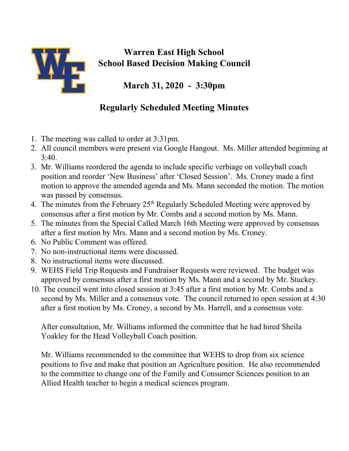

## **Warren East High School School Based Decision Making Council**

**March 31, 2020 - 3:30pm**

## **Regularly Scheduled Meeting Minutes**

- 1. The meeting was called to order at 3:31pm.
- 2. All council members were present via Google Hangout. Ms. Miller attended beginning at  $3:40.$
- 3. Mr. Williams reordered the agenda to include specific verbiage on volleyball coach position and reorder 'New Business' after 'Closed Session'. Ms. Croney made a first motion to approve the amended agenda and Ms. Mann seconded the motion. The motion was passed by consensus.
- 4. The minutes from the February 25<sup>th</sup> Regularly Scheduled Meeting were approved by consensus after a first motion by Mr. Combs and a second motion by Ms. Mann.
- 5. The minutes from the Special Called March 16th Meeting were approved by consensus after a first motion by Mrs. Mann and a second motion by Ms. Croney.
- 6. No Public Comment was offered.
- 7. No non-instructional items were discussed.
- 8. No instructional items were discussed.
- 9. WEHS Field Trip Requests and Fundraiser Requests were reviewed. The budget was approved by consensus after a first motion by Ms. Mann and a second by Mr. Stuckey.
- 10. The council went into closed session at 3:45 after a first motion by Mr. Combs and a second by Ms. Miller and a consensus vote. The council returned to open session at 4:30 after a first motion by Ms. Croney, a second by Ms. Harrell, and a consensus vote.

After consultation, Mr. Williams informed the committee that he had hired Sheila Yoakley for the Head Volleyball Coach position.

Mr. Williams recommended to the committee that WEHS to drop from six science positions to five and make that position an Agriculture position. He also recommended to the committee to change one of the Family and Consumer Sciences position to an Allied Health teacher to begin a medical sciences program.